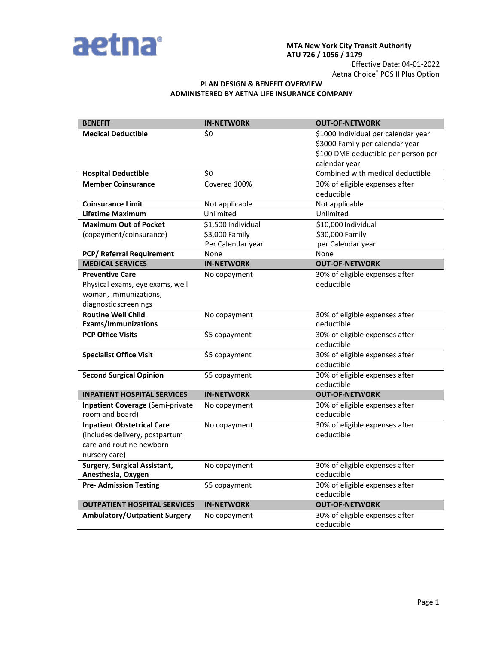

# **MTA New York City Transit Authority ATU 726 / 1056 / 1179**

Effective Date: 04-01-2022 Aetna Choice® POS II Plus Option

## **PLAN DESIGN & BENEFIT OVERVIEW ADMINISTERED BY AETNA LIFE INSURANCE COMPANY**

| <b>BENEFIT</b>                          | <b>IN-NETWORK</b>  | <b>OUT-OF-NETWORK</b>                        |
|-----------------------------------------|--------------------|----------------------------------------------|
| <b>Medical Deductible</b>               | \$0                | \$1000 Individual per calendar year          |
|                                         |                    | \$3000 Family per calendar year              |
|                                         |                    | \$100 DME deductible per person per          |
|                                         |                    | calendar year                                |
| <b>Hospital Deductible</b>              | \$0                | Combined with medical deductible             |
| <b>Member Coinsurance</b>               | Covered 100%       | 30% of eligible expenses after               |
|                                         |                    | deductible                                   |
| <b>Coinsurance Limit</b>                | Not applicable     | Not applicable                               |
| <b>Lifetime Maximum</b>                 | Unlimited          | Unlimited                                    |
| <b>Maximum Out of Pocket</b>            | \$1,500 Individual | \$10,000 Individual                          |
| (copayment/coinsurance)                 | \$3,000 Family     | \$30,000 Family                              |
|                                         | Per Calendar year  | per Calendar year                            |
| PCP/ Referral Requirement               | None               | None                                         |
| <b>MEDICAL SERVICES</b>                 | <b>IN-NETWORK</b>  | <b>OUT-OF-NETWORK</b>                        |
| <b>Preventive Care</b>                  | No copayment       | 30% of eligible expenses after               |
| Physical exams, eye exams, well         |                    | deductible                                   |
| woman, immunizations,                   |                    |                                              |
| diagnostic screenings                   |                    |                                              |
| <b>Routine Well Child</b>               | No copayment       | 30% of eligible expenses after               |
| <b>Exams/Immunizations</b>              |                    | deductible                                   |
| <b>PCP Office Visits</b>                | \$5 copayment      | 30% of eligible expenses after               |
|                                         |                    | deductible                                   |
| <b>Specialist Office Visit</b>          | \$5 copayment      | 30% of eligible expenses after               |
|                                         |                    | deductible                                   |
| <b>Second Surgical Opinion</b>          | \$5 copayment      | 30% of eligible expenses after               |
|                                         |                    | deductible                                   |
| <b>INPATIENT HOSPITAL SERVICES</b>      | <b>IN-NETWORK</b>  | <b>OUT-OF-NETWORK</b>                        |
| <b>Inpatient Coverage (Semi-private</b> | No copayment       | 30% of eligible expenses after               |
| room and board)                         |                    | deductible                                   |
| <b>Inpatient Obstetrical Care</b>       | No copayment       | 30% of eligible expenses after               |
| (includes delivery, postpartum          |                    | deductible                                   |
| care and routine newborn                |                    |                                              |
| nursery care)                           |                    |                                              |
| <b>Surgery, Surgical Assistant,</b>     | No copayment       | 30% of eligible expenses after               |
| Anesthesia, Oxygen                      |                    | deductible                                   |
| <b>Pre- Admission Testing</b>           | \$5 copayment      | 30% of eligible expenses after               |
|                                         |                    | deductible                                   |
| <b>OUTPATIENT HOSPITAL SERVICES</b>     | <b>IN-NETWORK</b>  | <b>OUT-OF-NETWORK</b>                        |
| <b>Ambulatory/Outpatient Surgery</b>    | No copayment       | 30% of eligible expenses after<br>deductible |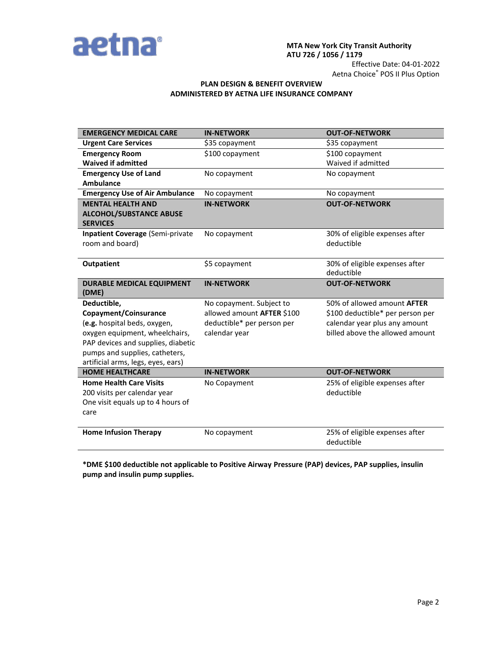

## **MTA New York City Transit Authority ATU 726 / 1056 / 1179** Effective Date: 04-01-2022

Aetna Choice® POS II Plus Option

# **PLAN DESIGN & BENEFIT OVERVIEW ADMINISTERED BY AETNA LIFE INSURANCE COMPANY**

| <b>EMERGENCY MEDICAL CARE</b>                     | <b>IN-NETWORK</b>          | <b>OUT-OF-NETWORK</b>              |
|---------------------------------------------------|----------------------------|------------------------------------|
| <b>Urgent Care Services</b>                       | \$35 copayment             | \$35 copayment                     |
| <b>Emergency Room</b>                             | \$100 copayment            | \$100 copayment                    |
| <b>Waived if admitted</b>                         |                            | Waived if admitted                 |
| <b>Emergency Use of Land</b>                      | No copayment               | No copayment                       |
| <b>Ambulance</b>                                  |                            |                                    |
| <b>Emergency Use of Air Ambulance</b>             | No copayment               | No copayment                       |
| <b>MENTAL HEALTH AND</b>                          | <b>IN-NETWORK</b>          | <b>OUT-OF-NETWORK</b>              |
| <b>ALCOHOL/SUBSTANCE ABUSE</b><br><b>SERVICES</b> |                            |                                    |
| <b>Inpatient Coverage (Semi-private</b>           | No copayment               | 30% of eligible expenses after     |
| room and board)                                   |                            | deductible                         |
| <b>Outpatient</b>                                 | \$5 copayment              | 30% of eligible expenses after     |
|                                                   |                            | deductible                         |
| <b>DURABLE MEDICAL EQUIPMENT</b><br>(DME)         | <b>IN-NETWORK</b>          | <b>OUT-OF-NETWORK</b>              |
| Deductible,                                       | No copayment. Subject to   | 50% of allowed amount <b>AFTER</b> |
| Copayment/Coinsurance                             | allowed amount AFTER \$100 | \$100 deductible* per person per   |
| (e.g. hospital beds, oxygen,                      | deductible* per person per | calendar year plus any amount      |
| oxygen equipment, wheelchairs,                    | calendar year              | billed above the allowed amount    |
| PAP devices and supplies, diabetic                |                            |                                    |
| pumps and supplies, catheters,                    |                            |                                    |
| artificial arms, legs, eyes, ears)                |                            |                                    |
| <b>HOME HEALTHCARE</b>                            | <b>IN-NETWORK</b>          | <b>OUT-OF-NETWORK</b>              |
| <b>Home Health Care Visits</b>                    | No Copayment               | 25% of eligible expenses after     |
| 200 visits per calendar year                      |                            | deductible                         |
| One visit equals up to 4 hours of                 |                            |                                    |
| care                                              |                            |                                    |
| <b>Home Infusion Therapy</b>                      | No copayment               | 25% of eligible expenses after     |
|                                                   |                            | deductible                         |

**\*DME \$100 deductible not applicable to Positive Airway Pressure (PAP) devices, PAP supplies, insulin pump and insulin pump supplies.**